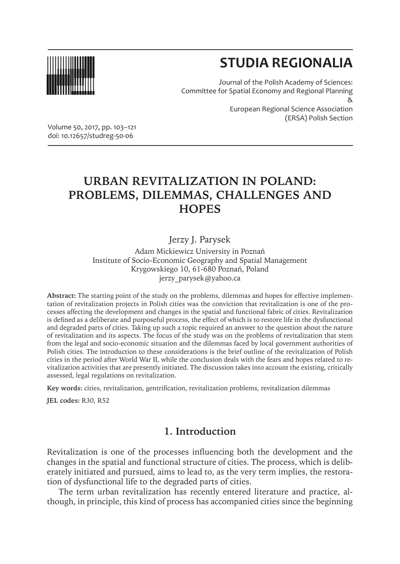

# **STUDIA REGIONALIA**

Journal of the Polish Academy of Sciences: Committee for Spatial Economy and Regional Planning & European Regional Science Association (ERSA) Polish Section

Volume 50, 2017, pp. 103–121 doi: 10.12657/studreg-50-06

## **URBAN REVITALIZATION IN POLAND: PROBLEMS, DILEMMAS, CHALLENGES AND HOPES**

Jerzy J. Parysek

Adam Mickiewicz University in Poznań Institute of Socio-Economic Geography and Spatial Management Krygowskiego 10, 61-680 Poznań, Poland jerzy\_parysek@yahoo.ca

**Abstract:** The starting point of the study on the problems, dilemmas and hopes for effective implementation of revitalization projects in Polish cities was the conviction that revitalization is one of the processes affecting the development and changes in the spatial and functional fabric of cities. Revitalization is defined as a deliberate and purposeful process, the effect of which is to restore life in the dysfunctional and degraded parts of cities. Taking up such a topic required an answer to the question about the nature of revitalization and its aspects. The focus of the study was on the problems of revitalization that stem from the legal and socio-economic situation and the dilemmas faced by local government authorities of Polish cities. The introduction to these considerations is the brief outline of the revitalization of Polish cities in the period after World War II, while the conclusion deals with the fears and hopes related to revitalization activities that are presently initiated. The discussion takes into account the existing, critically assessed, legal regulations on revitalization.

**Key words:** cities, revitalization, gentrification, revitalization problems, revitalization dilemmas

**JEL codes:** R30, R52

### **1. Introduction**

Revitalization is one of the processes influencing both the development and the changes in the spatial and functional structure of cities. The process, which is deliberately initiated and pursued, aims to lead to, as the very term implies, the restoration of dysfunctional life to the degraded parts of cities.

The term urban revitalization has recently entered literature and practice, although, in principle, this kind of process has accompanied cities since the beginning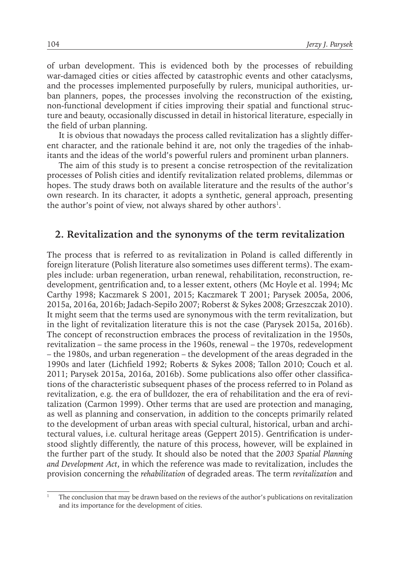of urban development. This is evidenced both by the processes of rebuilding war-damaged cities or cities affected by catastrophic events and other cataclysms, and the processes implemented purposefully by rulers, municipal authorities, urban planners, popes, the processes involving the reconstruction of the existing, non-functional development if cities improving their spatial and functional structure and beauty, occasionally discussed in detail in historical literature, especially in the field of urban planning.

It is obvious that nowadays the process called revitalization has a slightly different character, and the rationale behind it are, not only the tragedies of the inhabitants and the ideas of the world's powerful rulers and prominent urban planners.

The aim of this study is to present a concise retrospection of the revitalization processes of Polish cities and identify revitalization related problems, dilemmas or hopes. The study draws both on available literature and the results of the author's own research. In its character, it adopts a synthetic, general approach, presenting the author's point of view, not always shared by other authors $^{\rm l}$ .

#### **2. Revitalization and the synonyms of the term revitalization**

The process that is referred to as revitalization in Poland is called differently in foreign literature (Polish literature also sometimes uses different terms). The examples include: urban regeneration, urban renewal, rehabilitation, reconstruction, redevelopment, gentrification and, to a lesser extent, others (Mc Hoyle et al. 1994; Mc Carthy 1998; Kaczmarek S 2001, 2015; Kaczmarek T 2001; Parysek 2005a, 2006, 2015a, 2016a, 2016b; Jadach-Sepiło 2007; Roberst & Sykes 2008; Grzeszczak 2010). It might seem that the terms used are synonymous with the term revitalization, but in the light of revitalization literature this is not the case (Parysek 2015a, 2016b). The concept of reconstruction embraces the process of revitalization in the 1950s, revitalization – the same process in the 1960s, renewal – the 1970s, redevelopment – the 1980s, and urban regeneration – the development of the areas degraded in the 1990s and later (Lichfield 1992; Roberts & Sykes 2008; Tallon 2010; Couch et al. 2011; Parysek 2015a, 2016a, 2016b). Some publications also offer other classifications of the characteristic subsequent phases of the process referred to in Poland as revitalization, e.g. the era of bulldozer, the era of rehabilitation and the era of revitalization (Carmon 1999). Other terms that are used are protection and managing, as well as planning and conservation, in addition to the concepts primarily related to the development of urban areas with special cultural, historical, urban and architectural values, i.e. cultural heritage areas (Geppert 2015). Gentrification is understood slightly differently, the nature of this process, however, will be explained in the further part of the study. It should also be noted that the *2003 Spatial Planning and Development Act*, in which the reference was made to revitalization, includes the provision concerning the *rehabilitation* of degraded areas. The term *revitalization* and

<sup>1</sup> The conclusion that may be drawn based on the reviews of the author's publications on revitalization and its importance for the development of cities.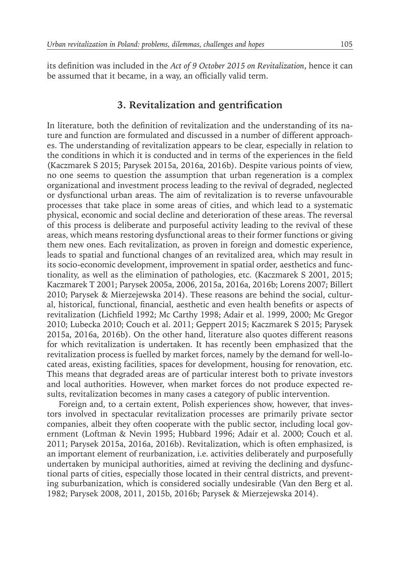its definition was included in the *Act of 9 October 2015 on Revitalization*, hence it can be assumed that it became, in a way, an officially valid term.

### **3. Revitalization and gentrification**

In literature, both the definition of revitalization and the understanding of its nature and function are formulated and discussed in a number of different approaches. The understanding of revitalization appears to be clear, especially in relation to the conditions in which it is conducted and in terms of the experiences in the field (Kaczmarek S 2015; Parysek 2015a, 2016a, 2016b). Despite various points of view, no one seems to question the assumption that urban regeneration is a complex organizational and investment process leading to the revival of degraded, neglected or dysfunctional urban areas. The aim of revitalization is to reverse unfavourable processes that take place in some areas of cities, and which lead to a systematic physical, economic and social decline and deterioration of these areas. The reversal of this process is deliberate and purposeful activity leading to the revival of these areas, which means restoring dysfunctional areas to their former functions or giving them new ones. Each revitalization, as proven in foreign and domestic experience, leads to spatial and functional changes of an revitalized area, which may result in its socio-economic development, improvement in spatial order, aesthetics and functionality, as well as the elimination of pathologies, etc. (Kaczmarek S 2001, 2015; Kaczmarek T 2001; Parysek 2005a, 2006, 2015a, 2016a, 2016b; Lorens 2007; Billert 2010; Parysek & Mierzejewska 2014). These reasons are behind the social, cultural, historical, functional, financial, aesthetic and even health benefits or aspects of revitalization (Lichfield 1992; Mc Carthy 1998; Adair et al. 1999, 2000; Mc Gregor 2010; Lubecka 2010; Couch et al. 2011; Geppert 2015; Kaczmarek S 2015; Parysek 2015a, 2016a, 2016b). On the other hand, literature also quotes different reasons for which revitalization is undertaken. It has recently been emphasized that the revitalization process is fuelled by market forces, namely by the demand for well-located areas, existing facilities, spaces for development, housing for renovation, etc. This means that degraded areas are of particular interest both to private investors and local authorities. However, when market forces do not produce expected results, revitalization becomes in many cases a category of public intervention.

Foreign and, to a certain extent, Polish experiences show, however, that investors involved in spectacular revitalization processes are primarily private sector companies, albeit they often cooperate with the public sector, including local government (Loftman & Nevin 1995; Hubbard 1996; Adair et al. 2000; Couch et al. 2011; Parysek 2015a, 2016a, 2016b). Revitalization, which is often emphasized, is an important element of reurbanization, i.e. activities deliberately and purposefully undertaken by municipal authorities, aimed at reviving the declining and dysfunctional parts of cities, especially those located in their central districts, and preventing suburbanization, which is considered socially undesirable (Van den Berg et al. 1982; Parysek 2008, 2011, 2015b, 2016b; Parysek & Mierzejewska 2014).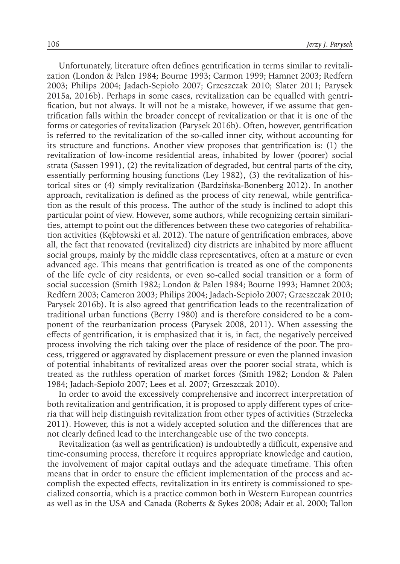Unfortunately, literature often defines gentrification in terms similar to revitalization (London & Palen 1984; Bourne 1993; Carmon 1999; Hamnet 2003; Redfern 2003; Philips 2004; Jadach-Sepioło 2007; Grzeszczak 2010; Slater 2011; Parysek 2015a, 2016b). Perhaps in some cases, revitalization can be equalled with gentrification, but not always. It will not be a mistake, however, if we assume that gentrification falls within the broader concept of revitalization or that it is one of the forms or categories of revitalization (Parysek 2016b). Often, however, gentrification is referred to the revitalization of the so-called inner city, without accounting for its structure and functions. Another view proposes that gentrification is: (1) the revitalization of low-income residential areas, inhabited by lower (poorer) social strata (Sassen 1991), (2) the revitalization of degraded, but central parts of the city, essentially performing housing functions (Ley 1982), (3) the revitalization of historical sites or (4) simply revitalization (Bardzińska-Bonenberg 2012). In another approach, revitalization is defined as the process of city renewal, while gentrification as the result of this process. The author of the study is inclined to adopt this particular point of view. However, some authors, while recognizing certain similarities, attempt to point out the differences between these two categories of rehabilitation activities (Kębłowski et al. 2012). The nature of gentrification embraces, above all, the fact that renovated (revitalized) city districts are inhabited by more affluent social groups, mainly by the middle class representatives, often at a mature or even advanced age. This means that gentrification is treated as one of the components of the life cycle of city residents, or even so-called social transition or a form of social succession (Smith 1982; London & Palen 1984; Bourne 1993; Hamnet 2003; Redfern 2003; Cameron 2003; Philips 2004; Jadach-Sepioło 2007; Grzeszczak 2010; Parysek 2016b). It is also agreed that gentrification leads to the recentralization of traditional urban functions (Berry 1980) and is therefore considered to be a component of the reurbanization process (Parysek 2008, 2011). When assessing the effects of gentrification, it is emphasized that it is, in fact, the negatively perceived process involving the rich taking over the place of residence of the poor. The process, triggered or aggravated by displacement pressure or even the planned invasion of potential inhabitants of revitalized areas over the poorer social strata, which is treated as the ruthless operation of market forces (Smith 1982; London & Palen 1984; Jadach-Sepioło 2007; Lees et al. 2007; Grzeszczak 2010).

In order to avoid the excessively comprehensive and incorrect interpretation of both revitalization and gentrification, it is proposed to apply different types of criteria that will help distinguish revitalization from other types of activities (Strzelecka 2011). However, this is not a widely accepted solution and the differences that are not clearly defined lead to the interchangeable use of the two concepts.

Revitalization (as well as gentrification) is undoubtedly a difficult, expensive and time-consuming process, therefore it requires appropriate knowledge and caution, the involvement of major capital outlays and the adequate timeframe. This often means that in order to ensure the efficient implementation of the process and accomplish the expected effects, revitalization in its entirety is commissioned to specialized consortia, which is a practice common both in Western European countries as well as in the USA and Canada (Roberts & Sykes 2008; Adair et al. 2000; Tallon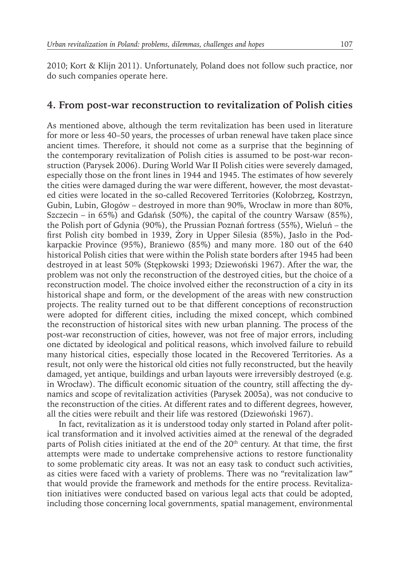2010; Kort & Klijn 2011). Unfortunately, Poland does not follow such practice, nor do such companies operate here.

## **4. From post-war reconstruction to revitalization of Polish cities**

As mentioned above, although the term revitalization has been used in literature for more or less 40–50 years, the processes of urban renewal have taken place since ancient times. Therefore, it should not come as a surprise that the beginning of the contemporary revitalization of Polish cities is assumed to be post-war reconstruction (Parysek 2006). During World War II Polish cities were severely damaged, especially those on the front lines in 1944 and 1945. The estimates of how severely the cities were damaged during the war were different, however, the most devastated cities were located in the so-called Recovered Territories (Kołobrzeg, Kostrzyn, Gubin, Lubin, Głogów – destroyed in more than 90%, Wrocław in more than 80%, Szczecin – in 65%) and Gdańsk (50%), the capital of the country Warsaw (85%), the Polish port of Gdynia (90%), the Prussian Poznań fortress (55%), Wieluń – the first Polish city bombed in 1939, Żory in Upper Silesia (85%), Jasło in the Podkarpackie Province (95%), Braniewo (85%) and many more. 180 out of the 640 historical Polish cities that were within the Polish state borders after 1945 had been destroyed in at least 50% (Stępkowski 1993; Dziewoński 1967). After the war, the problem was not only the reconstruction of the destroyed cities, but the choice of a reconstruction model. The choice involved either the reconstruction of a city in its historical shape and form, or the development of the areas with new construction projects. The reality turned out to be that different conceptions of reconstruction were adopted for different cities, including the mixed concept, which combined the reconstruction of historical sites with new urban planning. The process of the post-war reconstruction of cities, however, was not free of major errors, including one dictated by ideological and political reasons, which involved failure to rebuild many historical cities, especially those located in the Recovered Territories. As a result, not only were the historical old cities not fully reconstructed, but the heavily damaged, yet antique, buildings and urban layouts were irreversibly destroyed (e.g. in Wrocław). The difficult economic situation of the country, still affecting the dynamics and scope of revitalization activities (Parysek 2005a), was not conducive to the reconstruction of the cities. At different rates and to different degrees, however, all the cities were rebuilt and their life was restored (Dziewoński 1967).

In fact, revitalization as it is understood today only started in Poland after political transformation and it involved activities aimed at the renewal of the degraded parts of Polish cities initiated at the end of the 20<sup>th</sup> century. At that time, the first attempts were made to undertake comprehensive actions to restore functionality to some problematic city areas. It was not an easy task to conduct such activities, as cities were faced with a variety of problems. There was no "revitalization law" that would provide the framework and methods for the entire process. Revitalization initiatives were conducted based on various legal acts that could be adopted, including those concerning local governments, spatial management, environmental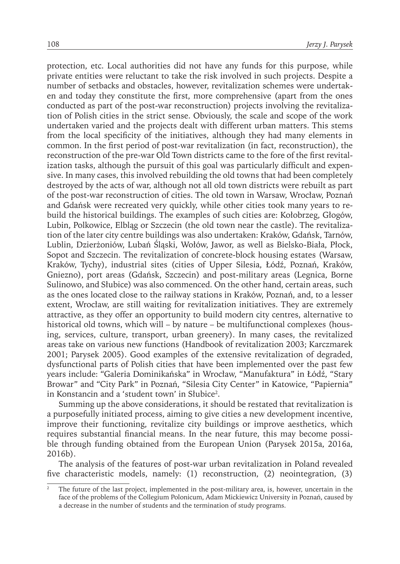protection, etc. Local authorities did not have any funds for this purpose, while private entities were reluctant to take the risk involved in such projects. Despite a number of setbacks and obstacles, however, revitalization schemes were undertaken and today they constitute the first, more comprehensive (apart from the ones conducted as part of the post-war reconstruction) projects involving the revitalization of Polish cities in the strict sense. Obviously, the scale and scope of the work undertaken varied and the projects dealt with different urban matters. This stems from the local specificity of the initiatives, although they had many elements in common. In the first period of post-war revitalization (in fact, reconstruction), the reconstruction of the pre-war Old Town districts came to the fore of the first revitalization tasks, although the pursuit of this goal was particularly difficult and expensive. In many cases, this involved rebuilding the old towns that had been completely destroyed by the acts of war, although not all old town districts were rebuilt as part of the post-war reconstruction of cities. The old town in Warsaw, Wrocław, Poznań and Gdańsk were recreated very quickly, while other cities took many years to rebuild the historical buildings. The examples of such cities are: Kołobrzeg, Głogów, Lubin, Polkowice, Elbląg or Szczecin (the old town near the castle). The revitalization of the later city centre buildings was also undertaken: Kraków, Gdańsk, Tarnów, Lublin, Dzierżoniów, Lubań Śląski, Wołów, Jawor, as well as Bielsko-Biała, Płock, Sopot and Szczecin. The revitalization of concrete-block housing estates (Warsaw, Kraków, Tychy), industrial sites (cities of Upper Silesia, Łódź, Poznań, Kraków, Gniezno), port areas (Gdańsk, Szczecin) and post-military areas (Legnica, Borne Sulinowo, and Słubice) was also commenced. On the other hand, certain areas, such as the ones located close to the railway stations in Kraków, Poznań, and, to a lesser extent, Wrocław, are still waiting for revitalization initiatives. They are extremely attractive, as they offer an opportunity to build modern city centres, alternative to historical old towns, which will – by nature – be multifunctional complexes (housing, services, culture, transport, urban greenery). In many cases, the revitalized areas take on various new functions (Handbook of revitalization 2003; Karczmarek 2001; Parysek 2005). Good examples of the extensive revitalization of degraded, dysfunctional parts of Polish cities that have been implemented over the past few years include: "Galeria Dominikańska" in Wrocław, "Manufaktura" in Łódź, "Stary Browar" and "City Park" in Poznań, "Silesia City Center" in Katowice, "Papiernia" in Konstancin and a 'student town' in Słubice<sup>2</sup>.

Summing up the above considerations, it should be restated that revitalization is a purposefully initiated process, aiming to give cities a new development incentive, improve their functioning, revitalize city buildings or improve aesthetics, which requires substantial financial means. In the near future, this may become possible through funding obtained from the European Union (Parysek 2015a, 2016a, 2016b).

The analysis of the features of post-war urban revitalization in Poland revealed five characteristic models, namely: (1) reconstruction, (2) neointegration, (3)

The future of the last project, implemented in the post-military area, is, however, uncertain in the face of the problems of the Collegium Polonicum, Adam Mickiewicz University in Poznań, caused by a decrease in the number of students and the termination of study programs.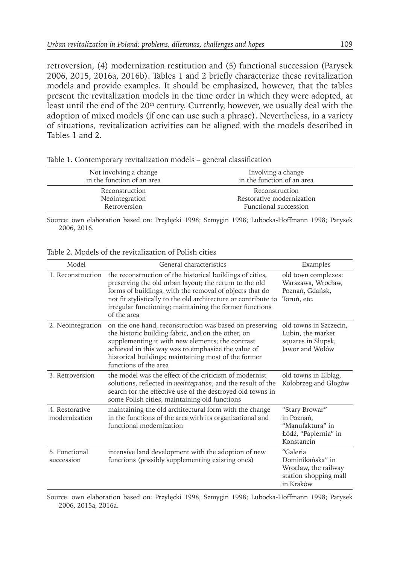retroversion, (4) modernization restitution and (5) functional succession (Parysek 2006, 2015, 2016a, 2016b). Tables 1 and 2 briefly characterize these revitalization models and provide examples. It should be emphasized, however, that the tables present the revitalization models in the time order in which they were adopted, at least until the end of the 20<sup>th</sup> century. Currently, however, we usually deal with the adoption of mixed models (if one can use such a phrase). Nevertheless, in a variety of situations, revitalization activities can be aligned with the models described in Tables 1 and 2.

| Not involving a change     | Involving a change         |
|----------------------------|----------------------------|
| in the function of an area | in the function of an area |
| Reconstruction             | Reconstruction             |
| Neointegration             | Restorative modernization  |
| Retroversion               | Functional succession      |
|                            |                            |

Table 1. Contemporary revitalization models – general classification

Source: own elaboration based on: Przyłęcki 1998; Szmygin 1998; Lubocka-Hoffmann 1998; Parysek 2006, 2016.

| Model                           | General characteristics                                                                                                                                                                                                                                                                                                    | Examples                                                                                   |
|---------------------------------|----------------------------------------------------------------------------------------------------------------------------------------------------------------------------------------------------------------------------------------------------------------------------------------------------------------------------|--------------------------------------------------------------------------------------------|
| 1. Reconstruction               | the reconstruction of the historical buildings of cities,<br>preserving the old urban layout; the return to the old<br>forms of buildings, with the removal of objects that do<br>not fit stylistically to the old architecture or contribute to<br>irregular functioning; maintaining the former functions<br>of the area | old town complexes:<br>Warszawa, Wrocław,<br>Poznań, Gdańsk,<br>Toruń, etc.                |
| 2. Neointegration               | on the one hand, reconstruction was based on preserving<br>the historic building fabric, and on the other, on<br>supplementing it with new elements; the contrast<br>achieved in this way was to emphasize the value of<br>historical buildings; maintaining most of the former<br>functions of the area                   | old towns in Szczecin,<br>Lubin, the market<br>squares in Słupsk,<br>Jawor and Wołów       |
| 3. Retroversion                 | the model was the effect of the criticism of modernist<br>solutions, reflected in neointegration, and the result of the<br>search for the effective use of the destroyed old towns in<br>some Polish cities; maintaining old functions                                                                                     | old towns in Elblag,<br>Kołobrzeg and Głogów                                               |
| 4. Restorative<br>modernization | maintaining the old architectural form with the change<br>in the functions of the area with its organizational and<br>functional modernization                                                                                                                                                                             | "Stary Browar"<br>in Poznań.<br>"Manufaktura" in<br>Łódź, "Papiernia" in<br>Konstancin     |
| 5. Functional<br>succession     | intensive land development with the adoption of new<br>functions (possibly supplementing existing ones)                                                                                                                                                                                                                    | "Galeria<br>Dominikańska" in<br>Wrocław, the railway<br>station shopping mall<br>in Kraków |

Source: own elaboration based on: Przyłęcki 1998; Szmygin 1998; Lubocka-Hoffmann 1998; Parysek 2006, 2015a, 2016a.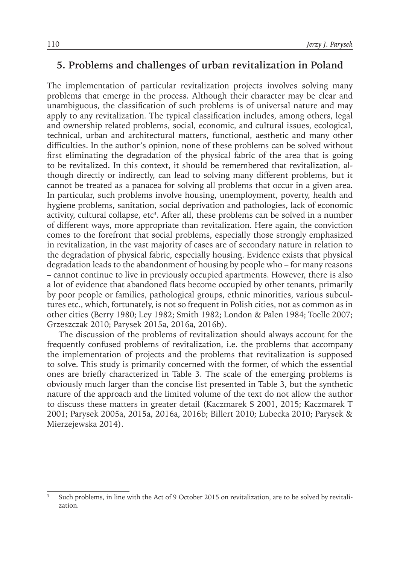## **5. Problems and challenges of urban revitalization in Poland**

The implementation of particular revitalization projects involves solving many problems that emerge in the process. Although their character may be clear and unambiguous, the classification of such problems is of universal nature and may apply to any revitalization. The typical classification includes, among others, legal and ownership related problems, social, economic, and cultural issues, ecological, technical, urban and architectural matters, functional, aesthetic and many other difficulties. In the author's opinion, none of these problems can be solved without first eliminating the degradation of the physical fabric of the area that is going to be revitalized. In this context, it should be remembered that revitalization, although directly or indirectly, can lead to solving many different problems, but it cannot be treated as a panacea for solving all problems that occur in a given area. In particular, such problems involve housing, unemployment, poverty, health and hygiene problems, sanitation, social deprivation and pathologies, lack of economic activity, cultural collapse, etc<sup>3</sup>. After all, these problems can be solved in a number of different ways, more appropriate than revitalization. Here again, the conviction comes to the forefront that social problems, especially those strongly emphasized in revitalization, in the vast majority of cases are of secondary nature in relation to the degradation of physical fabric, especially housing. Evidence exists that physical degradation leads to the abandonment of housing by people who – for many reasons – cannot continue to live in previously occupied apartments. However, there is also a lot of evidence that abandoned flats become occupied by other tenants, primarily by poor people or families, pathological groups, ethnic minorities, various subcultures etc., which, fortunately, is not so frequent in Polish cities, not as common as in other cities (Berry 1980; Ley 1982; Smith 1982; London & Palen 1984; Toelle 2007; Grzeszczak 2010; Parysek 2015a, 2016a, 2016b).

The discussion of the problems of revitalization should always account for the frequently confused problems of revitalization, i.e. the problems that accompany the implementation of projects and the problems that revitalization is supposed to solve. This study is primarily concerned with the former, of which the essential ones are briefly characterized in Table 3. The scale of the emerging problems is obviously much larger than the concise list presented in Table 3, but the synthetic nature of the approach and the limited volume of the text do not allow the author to discuss these matters in greater detail (Kaczmarek S 2001, 2015; Kaczmarek T 2001; Parysek 2005a, 2015a, 2016a, 2016b; Billert 2010; Lubecka 2010; Parysek & Mierzejewska 2014).

Such problems, in line with the Act of 9 October 2015 on revitalization, are to be solved by revitalization.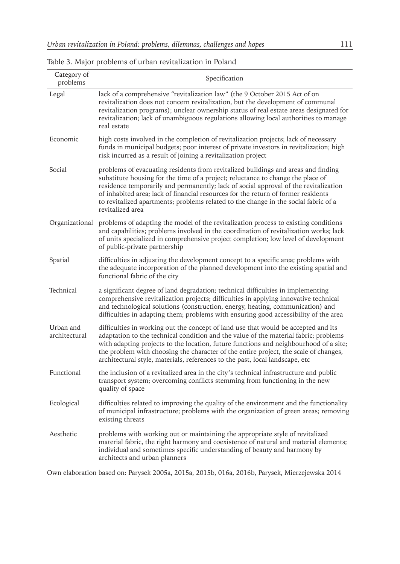|  |  |  |  |  |  |  |  | Table 3. Major problems of urban revitalization in Poland |  |
|--|--|--|--|--|--|--|--|-----------------------------------------------------------|--|
|--|--|--|--|--|--|--|--|-----------------------------------------------------------|--|

| Category of<br>problems    | Specification                                                                                                                                                                                                                                                                                                                                                                                                                                                |
|----------------------------|--------------------------------------------------------------------------------------------------------------------------------------------------------------------------------------------------------------------------------------------------------------------------------------------------------------------------------------------------------------------------------------------------------------------------------------------------------------|
| Legal                      | lack of a comprehensive "revitalization law" (the 9 October 2015 Act of on<br>revitalization does not concern revitalization, but the development of communal<br>revitalization programs); unclear ownership status of real estate areas designated for<br>revitalization; lack of unambiguous regulations allowing local authorities to manage<br>real estate                                                                                               |
| Economic                   | high costs involved in the completion of revitalization projects; lack of necessary<br>funds in municipal budgets; poor interest of private investors in revitalization; high<br>risk incurred as a result of joining a revitalization project                                                                                                                                                                                                               |
| Social                     | problems of evacuating residents from revitalized buildings and areas and finding<br>substitute housing for the time of a project; reluctance to change the place of<br>residence temporarily and permanently; lack of social approval of the revitalization<br>of inhabited area; lack of financial resources for the return of former residents<br>to revitalized apartments; problems related to the change in the social fabric of a<br>revitalized area |
| Organizational             | problems of adapting the model of the revitalization process to existing conditions<br>and capabilities; problems involved in the coordination of revitalization works; lack<br>of units specialized in comprehensive project completion; low level of development<br>of public-private partnership                                                                                                                                                          |
| Spatial                    | difficulties in adjusting the development concept to a specific area; problems with<br>the adequate incorporation of the planned development into the existing spatial and<br>functional fabric of the city                                                                                                                                                                                                                                                  |
| Technical                  | a significant degree of land degradation; technical difficulties in implementing<br>comprehensive revitalization projects; difficulties in applying innovative technical<br>and technological solutions (construction, energy, heating, communication) and<br>difficulties in adapting them; problems with ensuring good accessibility of the area                                                                                                           |
| Urban and<br>architectural | difficulties in working out the concept of land use that would be accepted and its<br>adaptation to the technical condition and the value of the material fabric; problems<br>with adapting projects to the location, future functions and neighbourhood of a site;<br>the problem with choosing the character of the entire project, the scale of changes,<br>architectural style, materials, references to the past, local landscape, etc                  |
| Functional                 | the inclusion of a revitalized area in the city's technical infrastructure and public<br>transport system; overcoming conflicts stemming from functioning in the new<br>quality of space                                                                                                                                                                                                                                                                     |
| Ecological                 | difficulties related to improving the quality of the environment and the functionality<br>of municipal infrastructure; problems with the organization of green areas; removing<br>existing threats                                                                                                                                                                                                                                                           |
| Aesthetic                  | problems with working out or maintaining the appropriate style of revitalized<br>material fabric, the right harmony and coexistence of natural and material elements;<br>individual and sometimes specific understanding of beauty and harmony by<br>architects and urban planners                                                                                                                                                                           |

Own elaboration based on: Parysek 2005a, 2015a, 2015b, 016a, 2016b, Parysek, Mierzejewska 2014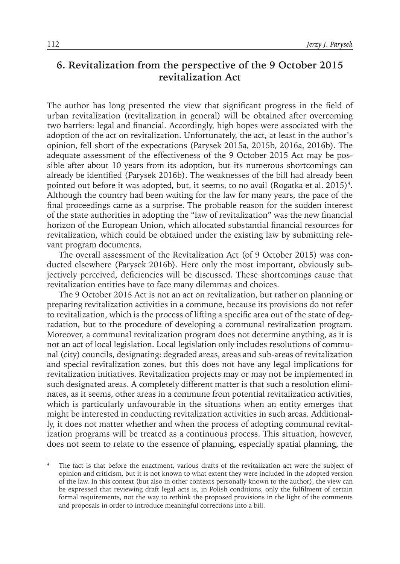## **6. Revitalization from the perspective of the 9 October 2015 revitalization Act**

The author has long presented the view that significant progress in the field of urban revitalization (revitalization in general) will be obtained after overcoming two barriers: legal and financial. Accordingly, high hopes were associated with the adoption of the act on revitalization. Unfortunately, the act, at least in the author's opinion, fell short of the expectations (Parysek 2015a, 2015b, 2016a, 2016b). The adequate assessment of the effectiveness of the 9 October 2015 Act may be possible after about 10 years from its adoption, but its numerous shortcomings can already be identified (Parysek 2016b). The weaknesses of the bill had already been pointed out before it was adopted, but, it seems, to no avail (Rogatka et al. 2015)4 . Although the country had been waiting for the law for many years, the pace of the final proceedings came as a surprise. The probable reason for the sudden interest of the state authorities in adopting the "law of revitalization" was the new financial horizon of the European Union, which allocated substantial financial resources for revitalization, which could be obtained under the existing law by submitting relevant program documents.

The overall assessment of the Revitalization Act (of 9 October 2015) was conducted elsewhere (Parysek 2016b). Here only the most important, obviously subjectively perceived, deficiencies will be discussed. These shortcomings cause that revitalization entities have to face many dilemmas and choices.

The 9 October 2015 Act is not an act on revitalization, but rather on planning or preparing revitalization activities in a commune, because its provisions do not refer to revitalization, which is the process of lifting a specific area out of the state of degradation, but to the procedure of developing a communal revitalization program. Moreover, a communal revitalization program does not determine anything, as it is not an act of local legislation. Local legislation only includes resolutions of communal (city) councils, designating: degraded areas, areas and sub-areas of revitalization and special revitalization zones, but this does not have any legal implications for revitalization initiatives. Revitalization projects may or may not be implemented in such designated areas. A completely different matter is that such a resolution eliminates, as it seems, other areas in a commune from potential revitalization activities, which is particularly unfavourable in the situations when an entity emerges that might be interested in conducting revitalization activities in such areas. Additionally, it does not matter whether and when the process of adopting communal revitalization programs will be treated as a continuous process. This situation, however, does not seem to relate to the essence of planning, especially spatial planning, the

The fact is that before the enactment, various drafts of the revitalization act were the subject of opinion and criticism, but it is not known to what extent they were included in the adopted version of the law. In this context (but also in other contexts personally known to the author), the view can be expressed that reviewing draft legal acts is, in Polish conditions, only the fulfilment of certain formal requirements, not the way to rethink the proposed provisions in the light of the comments and proposals in order to introduce meaningful corrections into a bill.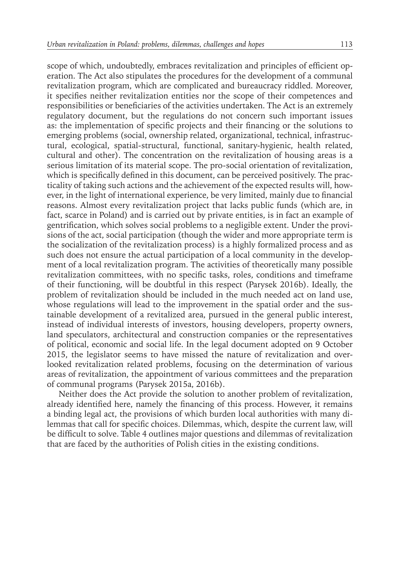scope of which, undoubtedly, embraces revitalization and principles of efficient operation. The Act also stipulates the procedures for the development of a communal revitalization program, which are complicated and bureaucracy riddled. Moreover, it specifies neither revitalization entities nor the scope of their competences and responsibilities or beneficiaries of the activities undertaken. The Act is an extremely regulatory document, but the regulations do not concern such important issues as: the implementation of specific projects and their financing or the solutions to emerging problems (social, ownership related, organizational, technical, infrastructural, ecological, spatial-structural, functional, sanitary-hygienic, health related, cultural and other). The concentration on the revitalization of housing areas is a serious limitation of its material scope. The pro-social orientation of revitalization, which is specifically defined in this document, can be perceived positively. The practicality of taking such actions and the achievement of the expected results will, however, in the light of international experience, be very limited, mainly due to financial reasons. Almost every revitalization project that lacks public funds (which are, in fact, scarce in Poland) and is carried out by private entities, is in fact an example of gentrification, which solves social problems to a negligible extent. Under the provisions of the act, social participation (though the wider and more appropriate term is the socialization of the revitalization process) is a highly formalized process and as such does not ensure the actual participation of a local community in the development of a local revitalization program. The activities of theoretically many possible revitalization committees, with no specific tasks, roles, conditions and timeframe of their functioning, will be doubtful in this respect (Parysek 2016b). Ideally, the problem of revitalization should be included in the much needed act on land use, whose regulations will lead to the improvement in the spatial order and the sustainable development of a revitalized area, pursued in the general public interest, instead of individual interests of investors, housing developers, property owners, land speculators, architectural and construction companies or the representatives of political, economic and social life. In the legal document adopted on 9 October 2015, the legislator seems to have missed the nature of revitalization and overlooked revitalization related problems, focusing on the determination of various areas of revitalization, the appointment of various committees and the preparation of communal programs (Parysek 2015a, 2016b).

Neither does the Act provide the solution to another problem of revitalization, already identified here, namely the financing of this process. However, it remains a binding legal act, the provisions of which burden local authorities with many dilemmas that call for specific choices. Dilemmas, which, despite the current law, will be difficult to solve. Table 4 outlines major questions and dilemmas of revitalization that are faced by the authorities of Polish cities in the existing conditions.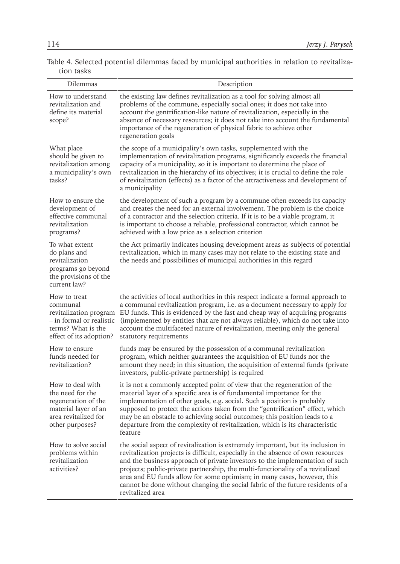Table 4. Selected potential dilemmas faced by municipal authorities in relation to revitalization tasks

| Dilemmas                                                                                                                        | Description                                                                                                                                                                                                                                                                                                                                                                                                                                                                                                             |
|---------------------------------------------------------------------------------------------------------------------------------|-------------------------------------------------------------------------------------------------------------------------------------------------------------------------------------------------------------------------------------------------------------------------------------------------------------------------------------------------------------------------------------------------------------------------------------------------------------------------------------------------------------------------|
| How to understand<br>revitalization and<br>define its material<br>scope?                                                        | the existing law defines revitalization as a tool for solving almost all<br>problems of the commune, especially social ones; it does not take into<br>account the gentrification-like nature of revitalization, especially in the<br>absence of necessary resources; it does not take into account the fundamental<br>importance of the regeneration of physical fabric to achieve other<br>regeneration goals                                                                                                          |
| What place<br>should be given to<br>revitalization among<br>a municipality's own<br>tasks?                                      | the scope of a municipality's own tasks, supplemented with the<br>implementation of revitalization programs, significantly exceeds the financial<br>capacity of a municipality, so it is important to determine the place of<br>revitalization in the hierarchy of its objectives; it is crucial to define the role<br>of revitalization (effects) as a factor of the attractiveness and development of<br>a municipality                                                                                               |
| How to ensure the<br>development of<br>effective communal<br>revitalization<br>programs?                                        | the development of such a program by a commune often exceeds its capacity<br>and creates the need for an external involvement. The problem is the choice<br>of a contractor and the selection criteria. If it is to be a viable program, it<br>is important to choose a reliable, professional contractor, which cannot be<br>achieved with a low price as a selection criterion                                                                                                                                        |
| To what extent<br>do plans and<br>revitalization<br>programs go beyond<br>the provisions of the<br>current law?                 | the Act primarily indicates housing development areas as subjects of potential<br>revitalization, which in many cases may not relate to the existing state and<br>the needs and possibilities of municipal authorities in this regard                                                                                                                                                                                                                                                                                   |
| How to treat<br>communal<br>revitalization program<br>- in formal or realistic<br>terms? What is the<br>effect of its adoption? | the activities of local authorities in this respect indicate a formal approach to<br>a communal revitalization program, i.e. as a document necessary to apply for<br>EU funds. This is evidenced by the fast and cheap way of acquiring programs<br>(implemented by entities that are not always reliable), which do not take into<br>account the multifaceted nature of revitalization, meeting only the general<br>statutory requirements                                                                             |
| How to ensure<br>funds needed for<br>revitalization?                                                                            | funds may be ensured by the possession of a communal revitalization<br>program, which neither guarantees the acquisition of EU funds nor the<br>amount they need; in this situation, the acquisition of external funds (private<br>investors, public-private partnership) is required                                                                                                                                                                                                                                   |
| How to deal with<br>the need for the<br>regeneration of the<br>material layer of an<br>area revitalized for<br>other purposes?  | it is not a commonly accepted point of view that the regeneration of the<br>material layer of a specific area is of fundamental importance for the<br>implementation of other goals, e.g. social. Such a position is probably<br>supposed to protect the actions taken from the "gentrification" effect, which<br>may be an obstacle to achieving social outcomes; this position leads to a<br>departure from the complexity of revitalization, which is its characteristic<br>feature                                  |
| How to solve social<br>problems within<br>revitalization<br>activities?                                                         | the social aspect of revitalization is extremely important, but its inclusion in<br>revitalization projects is difficult, especially in the absence of own resources<br>and the business approach of private investors to the implementation of such<br>projects; public-private partnership, the multi-functionality of a revitalized<br>area and EU funds allow for some optimism; in many cases, however, this<br>cannot be done without changing the social fabric of the future residents of a<br>revitalized area |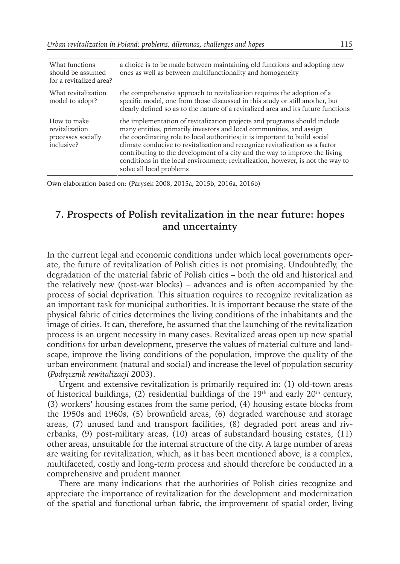| What functions<br>should be assumed<br>for a revitalized area?    | a choice is to be made between maintaining old functions and adopting new<br>ones as well as between multifunctionality and homogeneity                                                                                                                                                                                                                                                                                                                                                                        |
|-------------------------------------------------------------------|----------------------------------------------------------------------------------------------------------------------------------------------------------------------------------------------------------------------------------------------------------------------------------------------------------------------------------------------------------------------------------------------------------------------------------------------------------------------------------------------------------------|
| What revitalization<br>model to adopt?                            | the comprehensive approach to revitalization requires the adoption of a<br>specific model, one from those discussed in this study or still another, but<br>clearly defined so as to the nature of a revitalized area and its future functions                                                                                                                                                                                                                                                                  |
| How to make<br>revitalization<br>processes socially<br>inclusive? | the implementation of revitalization projects and programs should include<br>many entities, primarily investors and local communities, and assign<br>the coordinating role to local authorities; it is important to build social<br>climate conducive to revitalization and recognize revitalization as a factor<br>contributing to the development of a city and the way to improve the living<br>conditions in the local environment; revitalization, however, is not the way to<br>solve all local problems |

Own elaboration based on: (Parysek 2008, 2015a, 2015b, 2016a, 2016b)

## **7. Prospects of Polish revitalization in the near future: hopes and uncertainty**

In the current legal and economic conditions under which local governments operate, the future of revitalization of Polish cities is not promising. Undoubtedly, the degradation of the material fabric of Polish cities – both the old and historical and the relatively new (post-war blocks) – advances and is often accompanied by the process of social deprivation. This situation requires to recognize revitalization as an important task for municipal authorities. It is important because the state of the physical fabric of cities determines the living conditions of the inhabitants and the image of cities. It can, therefore, be assumed that the launching of the revitalization process is an urgent necessity in many cases. Revitalized areas open up new spatial conditions for urban development, preserve the values of material culture and landscape, improve the living conditions of the population, improve the quality of the urban environment (natural and social) and increase the level of population security (*Podręcznik rewitalizacji* 2003).

Urgent and extensive revitalization is primarily required in: (1) old-town areas of historical buildings, (2) residential buildings of the  $19<sup>th</sup>$  and early 20<sup>th</sup> century, (3) workers' housing estates from the same period, (4) housing estate blocks from the 1950s and 1960s, (5) brownfield areas, (6) degraded warehouse and storage areas, (7) unused land and transport facilities, (8) degraded port areas and riverbanks, (9) post-military areas, (10) areas of substandard housing estates, (11) other areas, unsuitable for the internal structure of the city. A large number of areas are waiting for revitalization, which, as it has been mentioned above, is a complex, multifaceted, costly and long-term process and should therefore be conducted in a comprehensive and prudent manner.

There are many indications that the authorities of Polish cities recognize and appreciate the importance of revitalization for the development and modernization of the spatial and functional urban fabric, the improvement of spatial order, living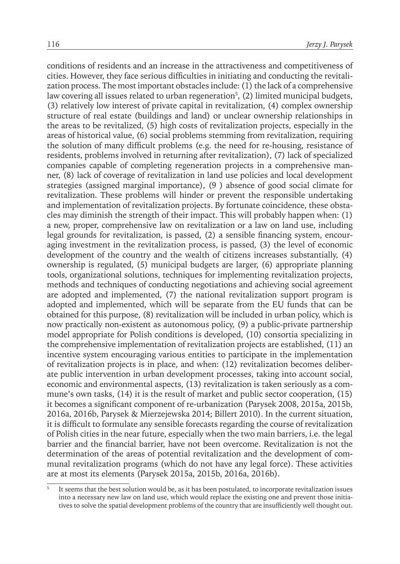conditions of residents and an increase in the attractiveness and competitiveness of cities. However, they face serious difficulties in initiating and conducting the revitalization process. The most important obstacles include: (1) the lack of a comprehensive law covering all issues related to urban regeneration<sup>5</sup>, (2) limited municipal budgets, (3) relatively low interest of private capital in revitalization, (4) complex ownership structure of real estate (buildings and land) or unclear ownership relationships in the areas to be revitalized, (5) high costs of revitalization projects, especially in the areas of historical value, (6) social problems stemming from revitalization, requiring the solution of many difficult problems (e.g. the need for re-housing, resistance of residents, problems involved in returning after revitalization), (7) lack of specialized companies capable of completing regeneration projects in a comprehensive manner, (8) lack of coverage of revitalization in land use policies and local development strategies (assigned marginal importance), (9 ) absence of good social climate for revitalization. These problems will hinder or prevent the responsible undertaking and implementation of revitalization projects. By fortunate coincidence, these obstacles may diminish the strength of their impact. This will probably happen when: (1) a new, proper, comprehensive law on revitalization or a law on land use, including legal grounds for revitalization, is passed, (2) a sensible financing system, encouraging investment in the revitalization process, is passed, (3) the level of economic development of the country and the wealth of citizens increases substantially, (4) ownership is regulated, (5) municipal budgets are larger, (6) appropriate planning tools, organizational solutions, techniques for implementing revitalization projects, methods and techniques of conducting negotiations and achieving social agreement are adopted and implemented, (7) the national revitalization support program is adopted and implemented, which will be separate from the EU funds that can be obtained for this purpose, (8) revitalization will be included in urban policy, which is now practically non-existent as autonomous policy, (9) a public-private partnership model appropriate for Polish conditions is developed, (10) consortia specializing in the comprehensive implementation of revitalization projects are established, (11) an incentive system encouraging various entities to participate in the implementation of revitalization projects is in place, and when: (12) revitalization becomes deliberate public intervention in urban development processes, taking into account social, economic and environmental aspects, (13) revitalization is taken seriously as a commune's own tasks, (14) it is the result of market and public sector cooperation, (15) it becomes a significant component of re-urbanization (Parysek 2008, 2015a, 2015b, 2016a, 2016b, Parysek & Mierzejewska 2014; Billert 2010). In the current situation, it is difficult to formulate any sensible forecasts regarding the course of revitalization of Polish cities in the near future, especially when the two main barriers, i.e. the legal barrier and the financial barrier, have not been overcome. Revitalization is not the determination of the areas of potential revitalization and the development of communal revitalization programs (which do not have any legal force). These activities are at most its elements (Parysek 2015a, 2015b, 2016a, 2016b).

It seems that the best solution would be, as it has been postulated, to incorporate revitalization issues into a necessary new law on land use, which would replace the existing one and prevent those initiatives to solve the spatial development problems of the country that are insufficiently well thought out.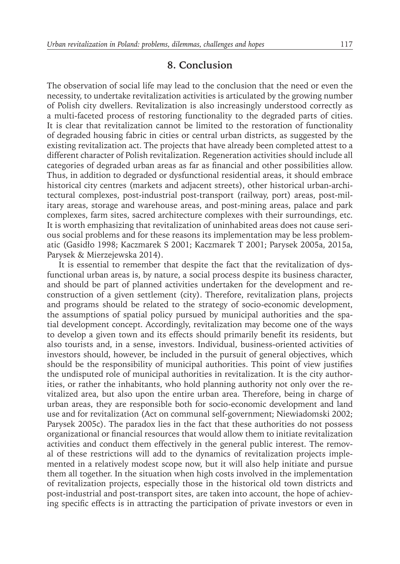#### **8. Conclusion**

The observation of social life may lead to the conclusion that the need or even the necessity, to undertake revitalization activities is articulated by the growing number of Polish city dwellers. Revitalization is also increasingly understood correctly as a multi-faceted process of restoring functionality to the degraded parts of cities. It is clear that revitalization cannot be limited to the restoration of functionality of degraded housing fabric in cities or central urban districts, as suggested by the existing revitalization act. The projects that have already been completed attest to a different character of Polish revitalization. Regeneration activities should include all categories of degraded urban areas as far as financial and other possibilities allow. Thus, in addition to degraded or dysfunctional residential areas, it should embrace historical city centres (markets and adjacent streets), other historical urban-architectural complexes, post-industrial post-transport (railway, port) areas, post-military areas, storage and warehouse areas, and post-mining areas, palace and park complexes, farm sites, sacred architecture complexes with their surroundings, etc. It is worth emphasizing that revitalization of uninhabited areas does not cause serious social problems and for these reasons its implementation may be less problematic (Gasidło 1998; Kaczmarek S 2001; Kaczmarek T 2001; Parysek 2005a, 2015a, Parysek & Mierzejewska 2014).

It is essential to remember that despite the fact that the revitalization of dysfunctional urban areas is, by nature, a social process despite its business character, and should be part of planned activities undertaken for the development and reconstruction of a given settlement (city). Therefore, revitalization plans, projects and programs should be related to the strategy of socio-economic development, the assumptions of spatial policy pursued by municipal authorities and the spatial development concept. Accordingly, revitalization may become one of the ways to develop a given town and its effects should primarily benefit its residents, but also tourists and, in a sense, investors. Individual, business-oriented activities of investors should, however, be included in the pursuit of general objectives, which should be the responsibility of municipal authorities. This point of view justifies the undisputed role of municipal authorities in revitalization. It is the city authorities, or rather the inhabitants, who hold planning authority not only over the revitalized area, but also upon the entire urban area. Therefore, being in charge of urban areas, they are responsible both for socio-economic development and land use and for revitalization (Act on communal self-government; Niewiadomski 2002; Parysek 2005c). The paradox lies in the fact that these authorities do not possess organizational or financial resources that would allow them to initiate revitalization activities and conduct them effectively in the general public interest. The removal of these restrictions will add to the dynamics of revitalization projects implemented in a relatively modest scope now, but it will also help initiate and pursue them all together. In the situation when high costs involved in the implementation of revitalization projects, especially those in the historical old town districts and post-industrial and post-transport sites, are taken into account, the hope of achieving specific effects is in attracting the participation of private investors or even in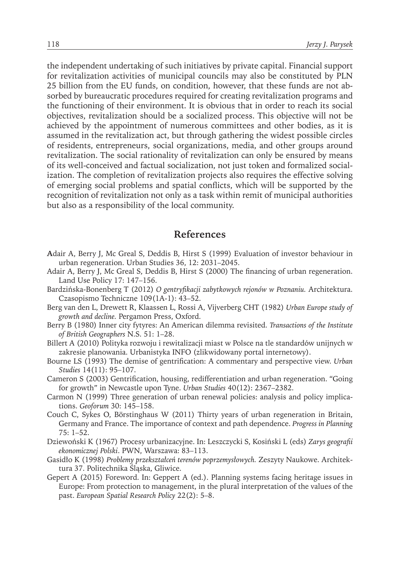the independent undertaking of such initiatives by private capital. Financial support for revitalization activities of municipal councils may also be constituted by PLN 25 billion from the EU funds, on condition, however, that these funds are not absorbed by bureaucratic procedures required for creating revitalization programs and the functioning of their environment. It is obvious that in order to reach its social objectives, revitalization should be a socialized process. This objective will not be achieved by the appointment of numerous committees and other bodies, as it is assumed in the revitalization act, but through gathering the widest possible circles of residents, entrepreneurs, social organizations, media, and other groups around revitalization. The social rationality of revitalization can only be ensured by means of its well-conceived and factual socialization, not just token and formalized socialization. The completion of revitalization projects also requires the effective solving of emerging social problems and spatial conflicts, which will be supported by the recognition of revitalization not only as a task within remit of municipal authorities but also as a responsibility of the local community.

#### **References**

- **A**dair A, Berry J, Mc Greal S, Deddis B, Hirst S (1999) Evaluation of investor behaviour in urban regeneration. Urban Studies 36, 12: 2031–2045.
- Adair A, Berry J, Mc Greal S, Deddis B, Hirst S (2000) The financing of urban regeneration. Land Use Policy 17: 147–156.
- Bardzińska-Bonenberg T (2012) *O gentryfikacji zabytkowych rejonów w Poznaniu.* Architektura. Czasopismo Techniczne 109(1A-1): 43–52.
- Berg van den L, Drewett R, Klaassen L, Rossi A, Vijverberg CHT (1982) *Urban Europe study of growth and decline.* Pergamon Press, Oxford.
- Berry B (1980) Inner city fytyres: An American dilemma revisited. *Transactions of the Institute of British Geographers* N.S. 51: 1–28.
- Billert A (2010) Polityka rozwoju i rewitalizacji miast w Polsce na tle standardów unijnych w zakresie planowania. Urbanistyka INFO (zlikwidowany portal internetowy).
- Bourne LS (1993) The demise of gentrification: A commentary and perspective view. *Urban Studies* 14(11): 95–107.
- Cameron S (2003) Gentrification, housing, redifferentiation and urban regeneration. "Going for growth" in Newcastle upon Tyne. *Urban Studies* 40(12): 2367–2382.
- Carmon N (1999) Three generation of urban renewal policies: analysis and policy implications. *Geoforum* 30: 145–158.
- Couch C, Sykes O, Börstinghaus W (2011) Thirty years of urban regeneration in Britain, Germany and France. The importance of context and path dependence. *Progress in Planning* 75: 1–52.
- Dziewoński K (1967) Procesy urbanizacyjne. In: Leszczycki S, Kosiński L (eds) *Zarys geografii ekonomicznej Polski*. PWN, Warszawa: 83–113.
- Gasidło K (1998) *Problemy przekształceń terenów poprzemysłowych.* Zeszyty Naukowe. Architektura 37. Politechnika Śląska, Gliwice.
- Gepert A (2015) Foreword. In: Geppert A (ed.). Planning systems facing heritage issues in Europe: From protection to management, in the plural interpretation of the values of the past. *European Spatial Research Policy* 22(2): 5–8.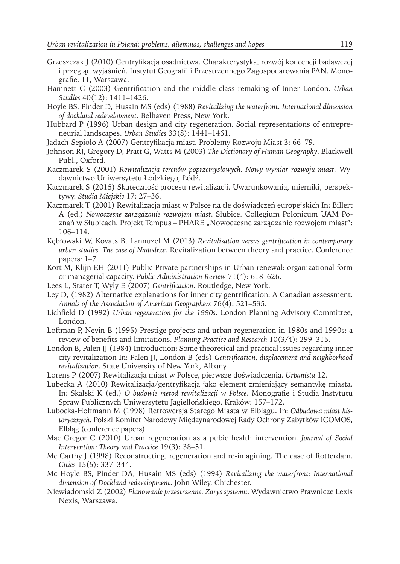- Grzeszczak J (2010) Gentryfikacja osadnictwa. Charakterystyka, rozwój koncepcji badawczej i przegląd wyjaśnień. Instytut Geografii i Przestrzennego Zagospodarowania PAN. Monografie. 11, Warszawa.
- Hamnett C (2003) Gentrification and the middle class remaking of Inner London. *Urban Studies* 40(12): 1411–1426.
- Hoyle BS, Pinder D, Husain MS (eds) (1988) *Revitalizing the waterfront. International dimension of dockland redevelopment*. Belhaven Press, New York.
- Hubbard P (1996) Urban design and city regeneration. Social representations of entrepreneurial landscapes. *Urban Studies* 33(8): 1441–1461.
- Jadach-Sepioło A (2007) Gentryfikacja miast. Problemy Rozwoju Miast 3: 66–79.
- Johnson RJ, Gregory D, Pratt G, Watts M (2003) *The Dictionary of Human Geography*. Blackwell Publ., Oxford.
- Kaczmarek S (2001) *Rewitalizacja terenów poprzemysłowych. Nowy wymiar rozwoju miast.* Wydawnictwo Uniwersytetu Łódzkiego, Łódź.
- Kaczmarek S (2015) Skuteczność procesu rewitalizacji. Uwarunkowania, mierniki, perspektywy. *Studia Miejskie* 17: 27–36.
- Kaczmarek T (2001) Rewitalizacja miast w Polsce na tle doświadczeń europejskich In: Billert A (ed.) *Nowoczesne zarządzanie rozwojem miast*. Słubice. Collegium Polonicum UAM Poznań w Słubicach. Projekt Tempus – PHARE "Nowoczesne zarządzanie rozwojem miast": 106–114.
- Kębłowski W, Kovats B, Lannuzel M (2013) *Revitalisation versus gentrification in contemporary urban studies. The case of Nadodrze.* Revitalization between theory and practice. Conference papers: 1–7.
- Kort M, Klijn EH (2011) Public Private partnerships in Urban renewal: organizational form or managerial capacity. *Public Administration Review* 71(4): 618–626.
- Lees L, Stater T, Wyly E (2007) *Gentrification*. Routledge, New York.
- Ley D, (1982) Alternative explanations for inner city gentrification: A Canadian assessment. *Annals of the Association of American Geographers* 76(4): 521–535.
- Lichfield D (1992) *Urban regeneration for the 1990s*. London Planning Advisory Committee, London.
- Loftman P, Nevin B (1995) Prestige projects and urban regeneration in 1980s and 1990s: a review of benefits and limitations. *Planning Practice and Research* 10(3/4): 299–315.
- London B, Palen JJ (1984) Introduction: Some theoretical and practical issues regarding inner city revitalization In: Palen JJ, London B (eds) *Gentrification, displacement and neighborhood revitalization*. State University of New York, Albany.
- Lorens P (2007) Rewitalizacja miast w Polsce, pierwsze doświadczenia. *Urbanista* 12.
- Lubecka A (2010) Rewitalizacja/gentryfikacja jako element zmieniający semantykę miasta. In: Skalski K (ed.) *O budowie metod rewitalizacji w Polsce*. Monografie i Studia Instytutu Spraw Publicznych Uniwersytetu Jagiellońskiego, Kraków: 157–172.
- Lubocka-Hoffmann M (1998) Retrowersja Starego Miasta w Elblągu. In: *Odbudowa miast historycznych*. Polski Komitet Narodowy Międzynarodowej Rady Ochrony Zabytków ICOMOS, Elbląg (conference papers).
- Mac Gregor C (2010) Urban regeneration as a pubic health intervention. *Journal of Social Intervention: Theory and Practice* 19(3): 38–51.
- Mc Carthy J (1998) Reconstructing, regeneration and re-imagining. The case of Rotterdam. *Cities* 15(5): 337–344.
- Mc Hoyle BS, Pinder DA, Husain MS (eds) (1994) *Revitalizing the waterfront: International dimension of Dockland redevelopment*. John Wiley, Chichester.
- Niewiadomski Z (2002) *Planowanie przestrzenne. Zarys systemu*. Wydawnictwo Prawnicze Lexis Nexis, Warszawa.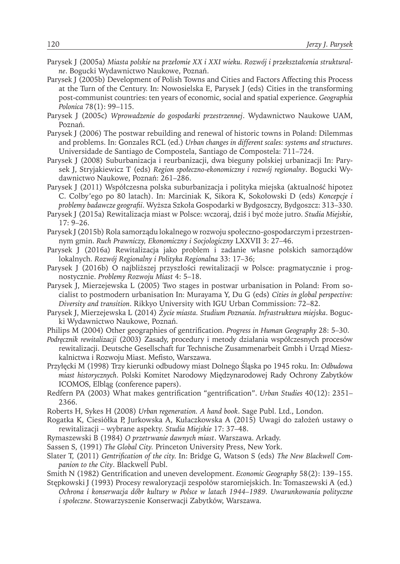- Parysek J (2005a) *Miasta polskie na przełomie XX i XXI wieku. Rozwój i przekształcenia strukturalne*. Bogucki Wydawnictwo Naukowe, Poznań.
- Parysek J (2005b) Development of Polish Towns and Cities and Factors Affecting this Process at the Turn of the Century. In: Nowosielska E, Parysek J (eds) Cities in the transforming post-communist countries: ten years of economic, social and spatial experience. *Geographia Polonica* 78(1): 99–115.
- Parysek J (2005c) *Wprowadzenie do gospodarki przestrzennej*. Wydawnictwo Naukowe UAM, Poznań.
- Parysek J (2006) The postwar rebuilding and renewal of historic towns in Poland: Dilemmas and problems. In: Gonzales RCL (ed.) *Urban changes in different scales: systems and structures*. Universidade de Santiago de Compostela, Santiago de Compostela: 711–724.
- Parysek J (2008) Suburbanizacja i reurbanizacji, dwa bieguny polskiej urbanizacji In: Parysek J, Stryjakiewicz T (eds) *Region społeczno-ekonomiczny i rozwój regionalny*. Bogucki Wydawnictwo Naukowe, Poznań: 261–286.
- Parysek J (2011) Współczesna polska suburbanizacja i polityka miejska (aktualność hipotez C. Colby'ego po 80 latach). In: Marciniak K, Sikora K, Sokołowski D (eds) *Koncepcje i problemy badawcze geografii*. Wyższa Szkoła Gospodarki w Bydgoszczy, Bydgoszcz: 313–330.
- Parysek J (2015a) Rewitalizacja miast w Polsce: wczoraj, dziś i być może jutro. *Studia Miejskie*, 17: 9–26.
- Parysek J (2015b) Rola samorządu lokalnego w rozwoju społeczno-gospodarczym i przestrzennym gmin. *Ruch Prawniczy, Ekonomiczny i Socjologiczny* LXXVII 3: 27–46.
- Parysek J (2016a) Rewitalizacja jako problem i zadanie własne polskich samorządów lokalnych. *Rozwój Regionalny i Polityka Regionalna* 33: 17–36;
- Parysek J (2016b) O najbliższej przyszłości rewitalizacji w Polsce: pragmatycznie i prognostycznie. *Problemy Rozwoju Miast* 4: 5–18.
- Parysek J, Mierzejewska L (2005) Two stages in postwar urbanisation in Poland: From socialist to postmodern urbanisation In: Murayama Y, Du G (eds) *Cities in global perspective: Diversity and transition*. Rikkyo University with IGU Urban Commission: 72–82.
- Parysek J, Mierzejewska L (2014) *Życie miasta. Studium Poznania. Infrastruktura miejska*. Bogucki Wydawnictwo Naukowe, Poznań.
- Philips M (2004) Other geographies of gentrification. *Progress in Human Geography* 28: 5–30.
- *Podręcznik rewitalizacji* (2003) Zasady, procedury i metody działania współczesnych procesów rewitalizacji. Deutsche Gesellschaft fur Technische Zusammenarbeit Gmbh i Urząd Mieszkalnictwa i Rozwoju Miast. Mefisto, Warszawa.
- Przyłęcki M (1998) Trzy kierunki odbudowy miast Dolnego Śląska po 1945 roku. In: *Odbudowa miast historycznych*. Polski Komitet Narodowy Międzynarodowej Rady Ochrony Zabytków ICOMOS, Elbląg (conference papers).
- Redfern PA (2003) What makes gentrification "gentrification". *Urban Studies* 40(12): 2351– 2366.
- Roberts H, Sykes H (2008) *Urban regeneration. A hand book*. Sage Publ. Ltd., London.
- Rogatka K, Ciesiółka P, Jurkowska A, Kułaczkowska A (2015) Uwagi do założeń ustawy o rewitalizacji – wybrane aspekty. *Studia Miejskie* 17: 37–48.
- Rymaszewski B (1984) *O przetrwanie dawnych miast*. Warszawa. Arkady.
- Sassen S, (1991) *The Global City.* Princeton University Press, New York.
- Slater T, (2011) *Gentrification of the city.* In: Bridge G, Watson S (eds) *The New Blackwell Companion to the City*. Blackwell Publ.
- Smith N (1982) Gentrification and uneven development. *Economic Geography* 58(2): 139–155. Stępkowski J (1993) Procesy rewaloryzacji zespołów staromiejskich. In: Tomaszewski A (ed.)
	- *Ochrona i konserwacja dóbr kultury w Polsce w latach 1944–1989. Uwarunkowania polityczne i społeczne*. Stowarzyszenie Konserwacji Zabytków, Warszawa.